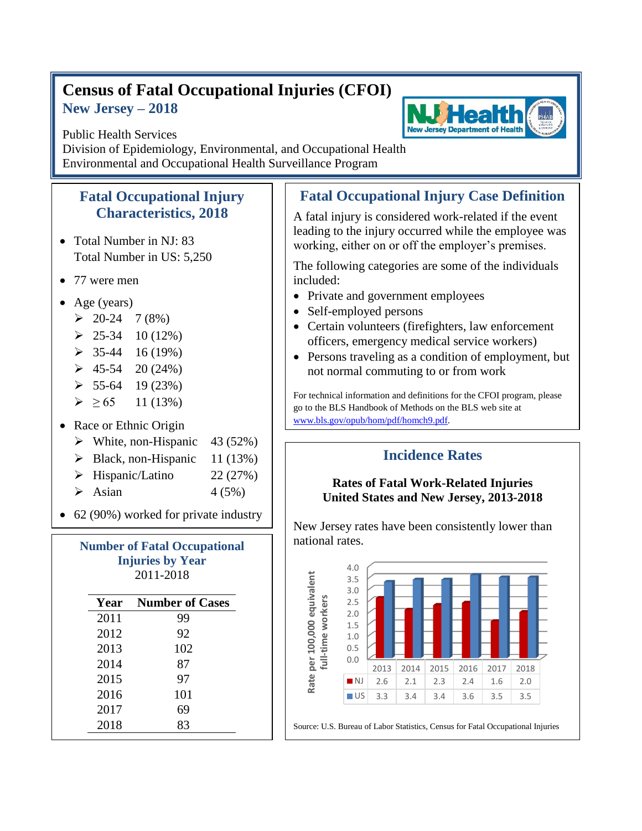# **Census of Fatal Occupational Injuries (CFOI) New Jersey – 2018**



Public Health Services Division of Epidemiology, Environmental, and Occupational Health Environmental and Occupational Health Surveillance Program

#### **Fatal Occupational Injury Characteristics, 2018**

- Total Number in NJ: 83 Total Number in US: 5,250
- 77 were men
- Age (years)
	- $\geq 20-24$  7 (8%)
	- $\geq 25-34$  10 (12%)
	- $\geq 35-44$  16 (19%)
	- $\geq 45-54$  20 (24%)
	- $\geq 55-64$  19 (23%)
	- $\geq 65$  11 (13%)
- Race or Ethnic Origin
	- $\triangleright$  White, non-Hispanic 43 (52%)
	- $\triangleright$  Black, non-Hispanic 11 (13%)
	- $\triangleright$  Hispanic/Latino 22 (27%)
	- $\triangleright$  Asian  $4(5\%)$

• 62 (90%) worked for private industry

| <b>Number of Fatal Occupational</b><br><b>Injuries by Year</b><br>2011-2018 |                        |  |
|-----------------------------------------------------------------------------|------------------------|--|
| Year                                                                        | <b>Number of Cases</b> |  |
| 2011                                                                        | 99                     |  |
| 2012                                                                        | 92                     |  |
| 2013                                                                        | 102                    |  |
| 2014                                                                        | 87                     |  |
| 2015                                                                        | 97                     |  |
| 2016                                                                        | 101                    |  |
| 2017                                                                        | 69                     |  |
| 2018                                                                        | 83                     |  |

# **Fatal Occupational Injury Case Definition**

A fatal injury is considered work-related if the event leading to the injury occurred while the employee was working, either on or off the employer's premises.

The following categories are some of the individuals included:

- Private and government employees
- Self-employed persons
- Certain volunteers (firefighters, law enforcement officers, emergency medical service workers)
- Persons traveling as a condition of employment, but not normal commuting to or from work

For technical information and definitions for the CFOI program, please go to the BLS Handbook of Methods on the BLS web site at [www.bls.gov/opub/hom/pdf/homch9.pdf.](file:///C:/WINNT/Profiles/borjan_m/Local%20Settings/Temporary%20Internet%20Files/Content.Outlook/9BTDUUSY/www.bls.gov/opub/hom/pdf/homch9.pdf)

### **Incidence Rates**

#### **Rates of Fatal Work-Related Injuries United States and New Jersey, 2013-2018**

New Jersey rates have been consistently lower than national rates.